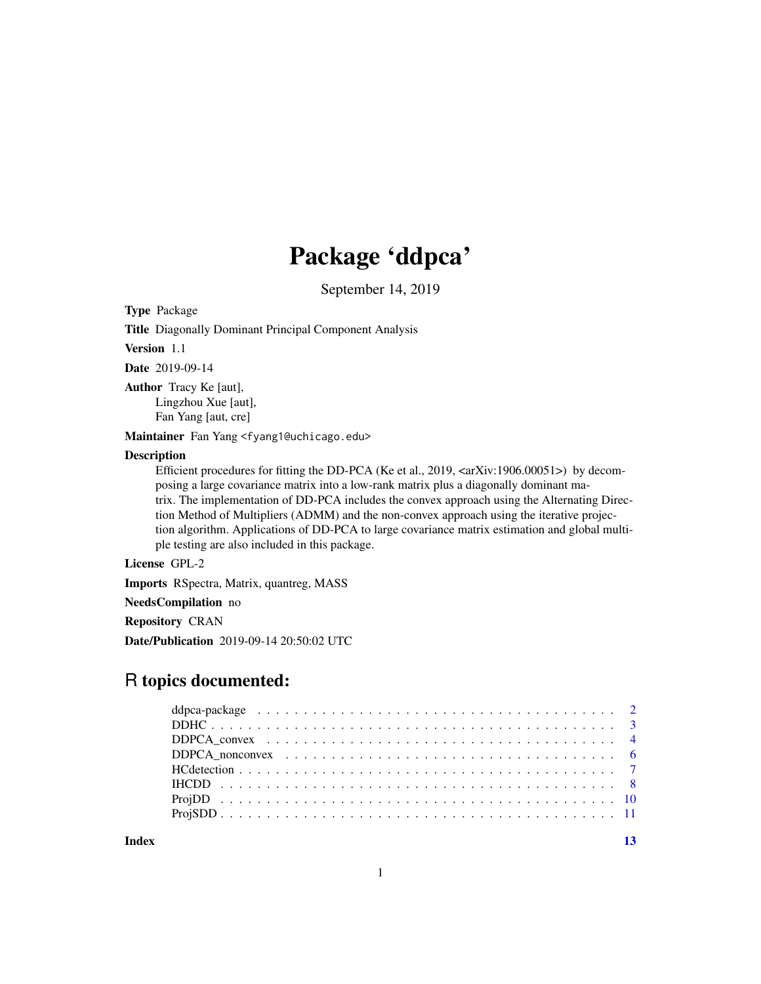## Package 'ddpca'

September 14, 2019

Type Package

Title Diagonally Dominant Principal Component Analysis

Version 1.1

Date 2019-09-14

Author Tracy Ke [aut], Lingzhou Xue [aut], Fan Yang [aut, cre]

Maintainer Fan Yang <fyang1@uchicago.edu>

#### Description

Efficient procedures for fitting the DD-PCA (Ke et al., 2019, <arXiv:1906.00051>) by decomposing a large covariance matrix into a low-rank matrix plus a diagonally dominant matrix. The implementation of DD-PCA includes the convex approach using the Alternating Direction Method of Multipliers (ADMM) and the non-convex approach using the iterative projection algorithm. Applications of DD-PCA to large covariance matrix estimation and global multiple testing are also included in this package.

## License GPL-2

Imports RSpectra, Matrix, quantreg, MASS

NeedsCompilation no

Repository CRAN

Date/Publication 2019-09-14 20:50:02 UTC

## R topics documented:

#### **Index** [13](#page-12-0)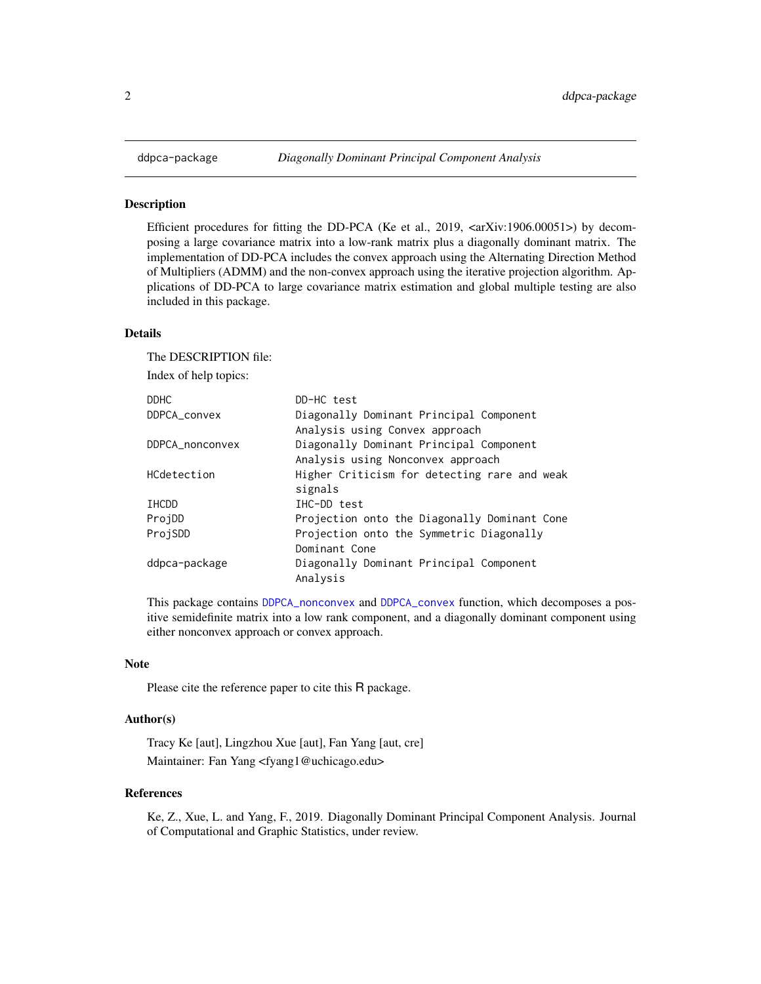<span id="page-1-0"></span>

## **Description**

Efficient procedures for fitting the DD-PCA (Ke et al., 2019,  $\langle \text{arXiv:1906.00051>}$ ) by decomposing a large covariance matrix into a low-rank matrix plus a diagonally dominant matrix. The implementation of DD-PCA includes the convex approach using the Alternating Direction Method of Multipliers (ADMM) and the non-convex approach using the iterative projection algorithm. Applications of DD-PCA to large covariance matrix estimation and global multiple testing are also included in this package.

#### Details

The DESCRIPTION file:

Index of help topics:

| <b>DDHC</b>     | DD-HC test                                   |
|-----------------|----------------------------------------------|
| DDPCA_convex    | Diagonally Dominant Principal Component      |
|                 | Analysis using Convex approach               |
| DDPCA_nonconvex | Diagonally Dominant Principal Component      |
|                 | Analysis using Nonconvex approach            |
| HCdetection     | Higher Criticism for detecting rare and weak |
|                 | signals                                      |
| IHCDD           | IHC-DD test                                  |
| ProjDD          | Projection onto the Diagonally Dominant Cone |
| ProjSDD         | Projection onto the Symmetric Diagonally     |
|                 | Dominant Cone                                |
| ddpca-package   | Diagonally Dominant Principal Component      |
|                 | Analysis                                     |

This package contains [DDPCA\\_nonconvex](#page-5-1) and [DDPCA\\_convex](#page-3-1) function, which decomposes a positive semidefinite matrix into a low rank component, and a diagonally dominant component using either nonconvex approach or convex approach.

#### Note

Please cite the reference paper to cite this R package.

## Author(s)

Tracy Ke [aut], Lingzhou Xue [aut], Fan Yang [aut, cre] Maintainer: Fan Yang <fyang1@uchicago.edu>

#### References

Ke, Z., Xue, L. and Yang, F., 2019. Diagonally Dominant Principal Component Analysis. Journal of Computational and Graphic Statistics, under review.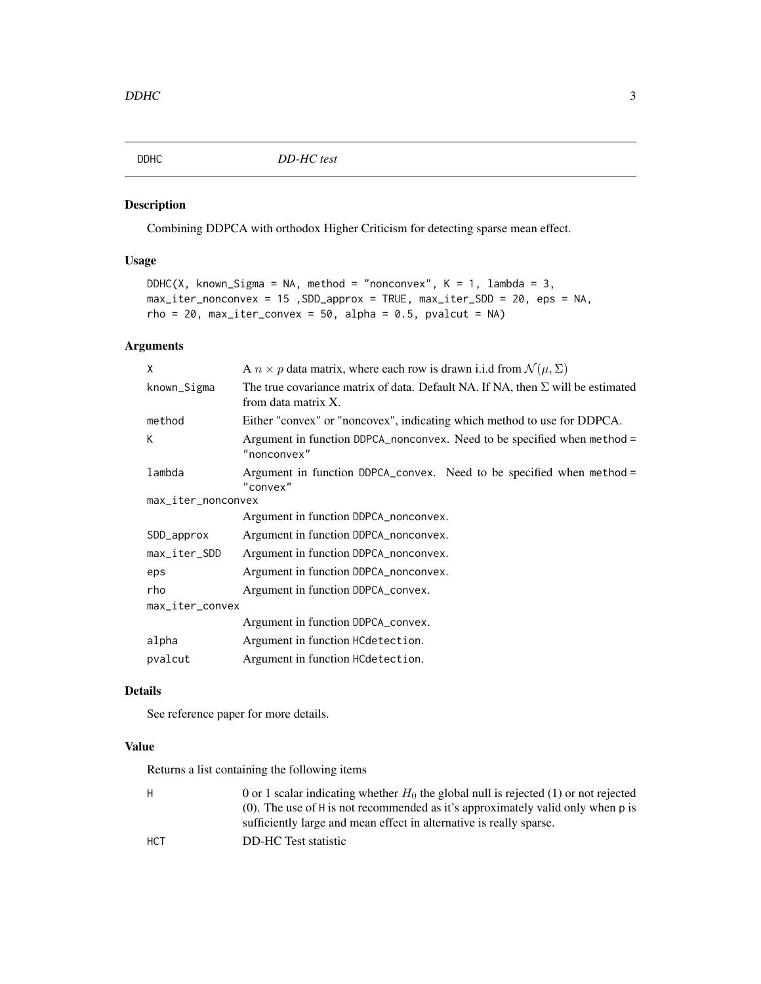<span id="page-2-1"></span><span id="page-2-0"></span>

## Description

Combining DDPCA with orthodox Higher Criticism for detecting sparse mean effect.

## Usage

```
DDHC(X, known_Sigma = NA, method = "nonconvex", K = 1, lambda = 3,
max_iter_nonconvex = 15 ,SDD_approx = TRUE, max_iter_SDD = 20, eps = NA,
rho = 20, max\_iter\_convex = 50, alpha = 0.5, pvalcut = NA)
```
## Arguments

| X                  | A $n \times p$ data matrix, where each row is drawn i.i.d from $\mathcal{N}(\mu, \Sigma)$                     |
|--------------------|---------------------------------------------------------------------------------------------------------------|
| known_Sigma        | The true covariance matrix of data. Default NA. If NA, then $\Sigma$ will be estimated<br>from data matrix X. |
| method             | Either "convex" or "noncovex", indicating which method to use for DDPCA.                                      |
| К                  | Argument in function DDPCA_nonconvex. Need to be specified when method =<br>"nonconvex"                       |
| lambda             | Argument in function DDPCA_convex. Need to be specified when method =<br>"convex"                             |
| max_iter_nonconvex |                                                                                                               |
|                    | Argument in function DDPCA_nonconvex.                                                                         |
| SDD_approx         | Argument in function DDPCA_nonconvex.                                                                         |
| max_iter_SDD       | Argument in function DDPCA_nonconvex.                                                                         |
| eps                | Argument in function DDPCA_nonconvex.                                                                         |
| rho                | Argument in function DDPCA_convex.                                                                            |
| max_iter_convex    |                                                                                                               |
|                    | Argument in function DDPCA_convex.                                                                            |
| alpha              | Argument in function HCdetection.                                                                             |
| pvalcut            | Argument in function HCdetection.                                                                             |

## Details

See reference paper for more details.

## Value

Returns a list containing the following items

| H          | 0 or 1 scalar indicating whether $H_0$ the global null is rejected (1) or not rejected |
|------------|----------------------------------------------------------------------------------------|
|            | (0). The use of H is not recommended as it's approximately valid only when p is        |
|            | sufficiently large and mean effect in alternative is really sparse.                    |
| <b>HCT</b> | DD-HC Test statistic                                                                   |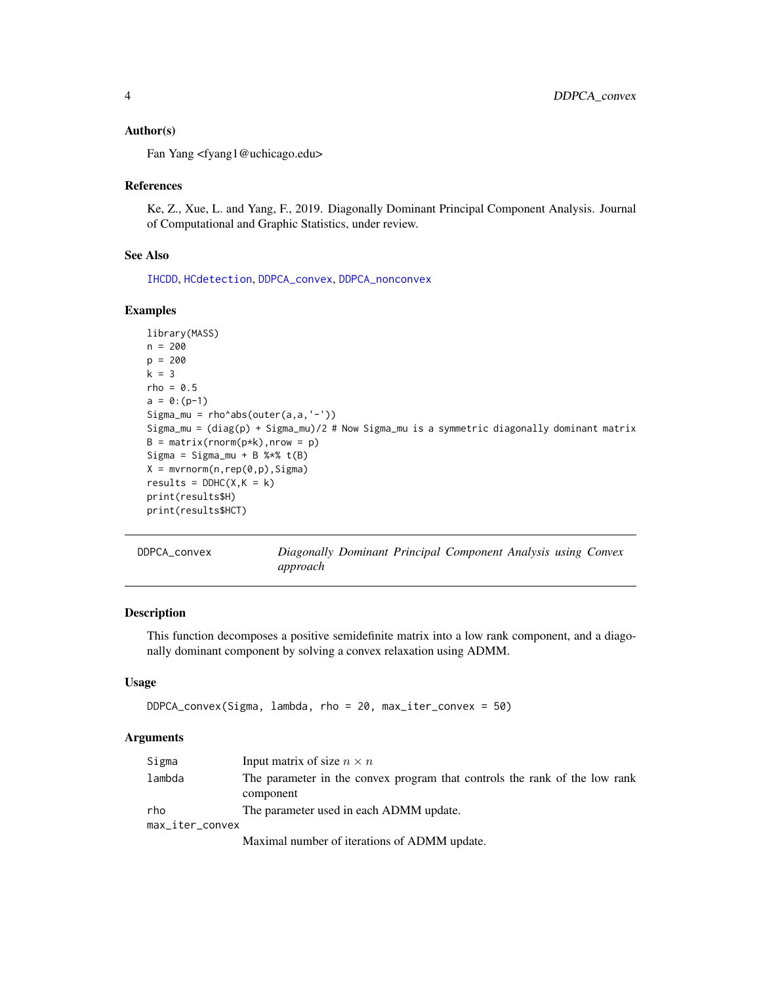#### <span id="page-3-0"></span>Author(s)

Fan Yang <fyang1@uchicago.edu>

#### References

Ke, Z., Xue, L. and Yang, F., 2019. Diagonally Dominant Principal Component Analysis. Journal of Computational and Graphic Statistics, under review.

#### See Also

[IHCDD](#page-7-1), [HCdetection](#page-6-1), [DDPCA\\_convex](#page-3-1), [DDPCA\\_nonconvex](#page-5-1)

#### Examples

```
library(MASS)
n = 200
p = 200
k = 3rho = 0.5a = 0:(p-1)Sigma_mu = rho^abs(outer(a,a,'-'))
Sigma_mu = (diag(p) + Sigma_mu)/2 # Now Sigma_mu is a symmetric diagonally dominant matrix
B = matrix(rnorm(p*k), nrow = p)Sigma = Sigma_mu + B %f(B)X = mvrnorm(n, rep(0, p), Sigma)results = DDHC(X, K = k)print(results$H)
print(results$HCT)
```
<span id="page-3-1"></span>

| DDPCA convex | Diagonally Dominant Principal Component Analysis using Convex |  |  |  |
|--------------|---------------------------------------------------------------|--|--|--|
|              | approach                                                      |  |  |  |

#### Description

This function decomposes a positive semidefinite matrix into a low rank component, and a diagonally dominant component by solving a convex relaxation using ADMM.

## Usage

```
DDPCA_convex(Sigma, lambda, rho = 20, max_iter_convex = 50)
```
#### Arguments

| Sigma           | Input matrix of size $n \times n$                                                       |
|-----------------|-----------------------------------------------------------------------------------------|
| lambda          | The parameter in the convex program that controls the rank of the low rank<br>component |
| rho             | The parameter used in each ADMM update.                                                 |
| max_iter_convex |                                                                                         |
|                 | Maximal number of iterations of ADMM update.                                            |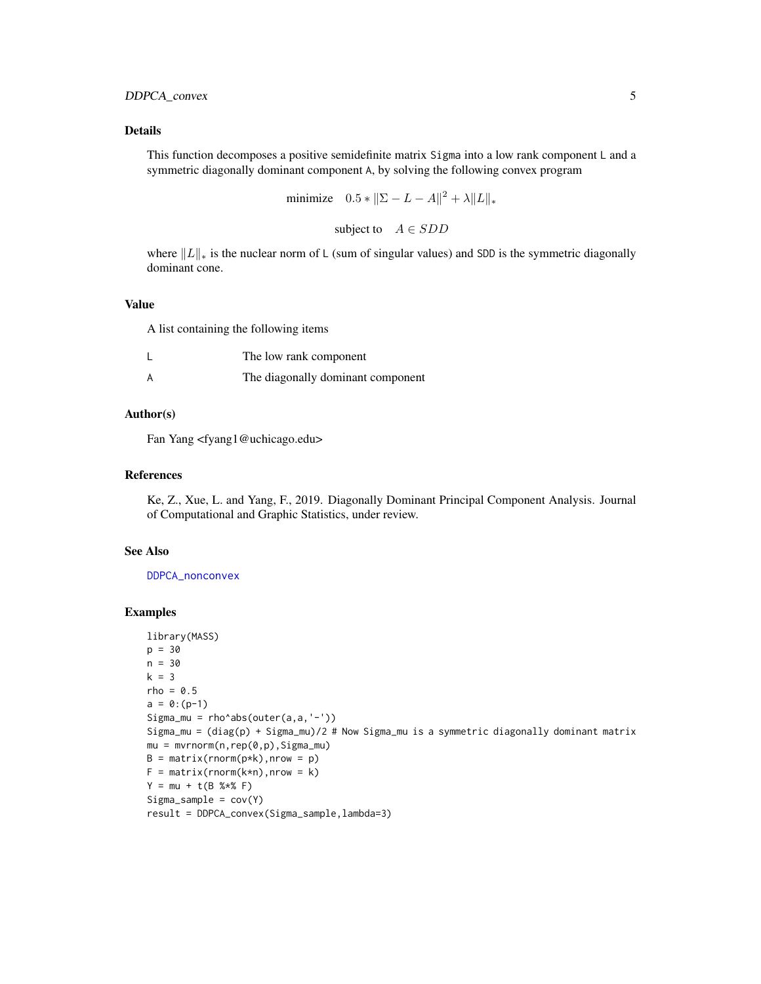## <span id="page-4-0"></span>DDPCA\_convex 5

#### Details

This function decomposes a positive semidefinite matrix Sigma into a low rank component L and a symmetric diagonally dominant component A, by solving the following convex program

minimize 
$$
0.5 * ||\Sigma - L - A||^2 + \lambda ||L||_*
$$

subject to  $A \in SDD$ 

where  $||L||_*$  is the nuclear norm of L (sum of singular values) and SDD is the symmetric diagonally dominant cone.

#### Value

A list containing the following items

| The low rank component            |
|-----------------------------------|
| The diagonally dominant component |

#### Author(s)

Fan Yang <fyang1@uchicago.edu>

#### References

Ke, Z., Xue, L. and Yang, F., 2019. Diagonally Dominant Principal Component Analysis. Journal of Computational and Graphic Statistics, under review.

#### See Also

[DDPCA\\_nonconvex](#page-5-1)

#### Examples

```
library(MASS)
p = 30
n = 30
k = 3rho = 0.5a = 0:(p-1)Sigma_mu = rho^*abs(outer(a,a,'-'))Sigma_mu = (diag(p) + Sigma_mu)/2 # Now Sigma_mu is a symmetric diagonally dominant matrix
mu = mvrnorm(n,rep(0,p),Sigma_mu)
B = matrix(rnorm(p*k), nrow = p)F = matrix(rnorm(k*n), nrow = k)Y = mu + t(B % * * * F)Sigma\_sample = cov(Y)result = DDPCA_convex(Sigma_sample,lambda=3)
```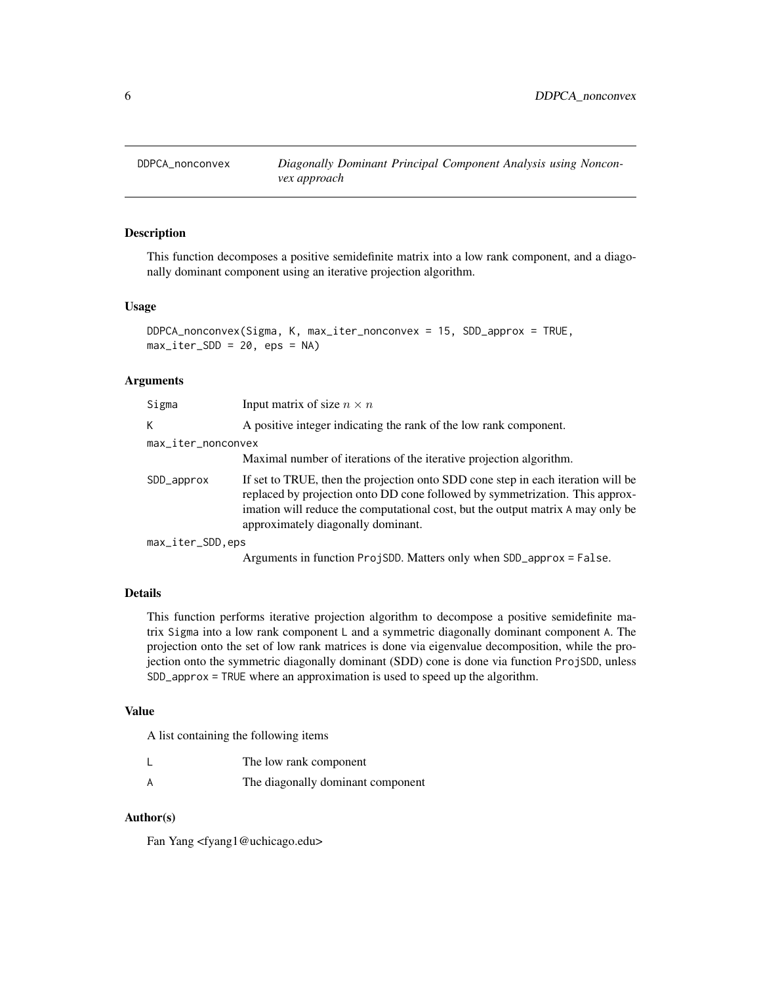<span id="page-5-1"></span><span id="page-5-0"></span>

#### Description

This function decomposes a positive semidefinite matrix into a low rank component, and a diagonally dominant component using an iterative projection algorithm.

#### Usage

```
DDPCA_nonconvex(Sigma, K, max_iter_nonconvex = 15, SDD_approx = TRUE,
max\_iter\_SDD = 20, eps = NA)
```
#### Arguments

| Sigma              | Input matrix of size $n \times n$                                                                                                                                                                                                                                                         |
|--------------------|-------------------------------------------------------------------------------------------------------------------------------------------------------------------------------------------------------------------------------------------------------------------------------------------|
| K                  | A positive integer indicating the rank of the low rank component.                                                                                                                                                                                                                         |
| max_iter_nonconvex |                                                                                                                                                                                                                                                                                           |
|                    | Maximal number of iterations of the iterative projection algorithm.                                                                                                                                                                                                                       |
| SDD_approx         | If set to TRUE, then the projection onto SDD cone step in each iteration will be<br>replaced by projection onto DD cone followed by symmetrization. This approx-<br>imation will reduce the computational cost, but the output matrix A may only be<br>approximately diagonally dominant. |
| max_iter_SDD,eps   |                                                                                                                                                                                                                                                                                           |
|                    | Arguments in function ProjSDD. Matters only when SDD_approx = False.                                                                                                                                                                                                                      |

#### Details

This function performs iterative projection algorithm to decompose a positive semidefinite matrix Sigma into a low rank component L and a symmetric diagonally dominant component A. The projection onto the set of low rank matrices is done via eigenvalue decomposition, while the projection onto the symmetric diagonally dominant (SDD) cone is done via function ProjSDD, unless SDD\_approx = TRUE where an approximation is used to speed up the algorithm.

#### Value

A list containing the following items

|   | The low rank component            |
|---|-----------------------------------|
| А | The diagonally dominant component |

#### Author(s)

Fan Yang <fyang1@uchicago.edu>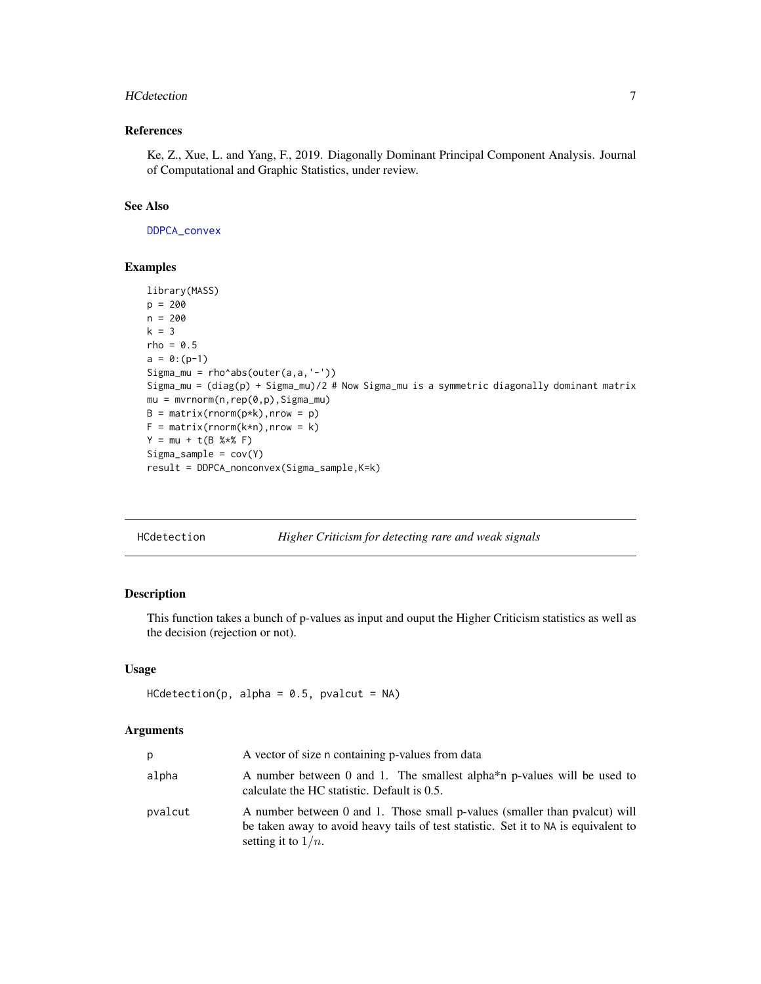#### <span id="page-6-0"></span>HCdetection 7

## References

Ke, Z., Xue, L. and Yang, F., 2019. Diagonally Dominant Principal Component Analysis. Journal of Computational and Graphic Statistics, under review.

#### See Also

[DDPCA\\_convex](#page-3-1)

#### Examples

```
library(MASS)
p = 200
n = 200
k = 3rho = 0.5a = 0:(p-1)Sigma_mu = rho^abs(outer(a,a,'-'))
Sigma_mu = (diag(p) + Sigma_mu)/2 # Now Sigma_mu is a symmetric diagonally dominant matrix
mu = mvrnorm(n, rep(0, p), Sigma_mu)B = matrix(rnorm(p*k), nrow = p)F = matrix(rnorm(k*n), nrow = k)Y = mu + t(B % * * F)Sigma_sample = cov(Y)
result = DDPCA_nonconvex(Sigma_sample,K=k)
```
<span id="page-6-1"></span>

| HCdetection |  |  |  |  | Higher Criticism for detecting rare and weak signals |
|-------------|--|--|--|--|------------------------------------------------------|
|-------------|--|--|--|--|------------------------------------------------------|

## Description

This function takes a bunch of p-values as input and ouput the Higher Criticism statistics as well as the decision (rejection or not).

## Usage

```
HCdetection(p, alpha = 0.5, pvalcut = NA)
```
#### Arguments

| p       | A vector of size n containing p-values from data                                                                                                                                           |
|---------|--------------------------------------------------------------------------------------------------------------------------------------------------------------------------------------------|
| alpha   | A number between 0 and 1. The smallest alpha <sup>*</sup> n p-values will be used to<br>calculate the HC statistic. Default is 0.5.                                                        |
| pvalcut | A number between 0 and 1. Those small p-values (smaller than pvalcut) will<br>be taken away to avoid heavy tails of test statistic. Set it to NA is equivalent to<br>setting it to $1/n$ . |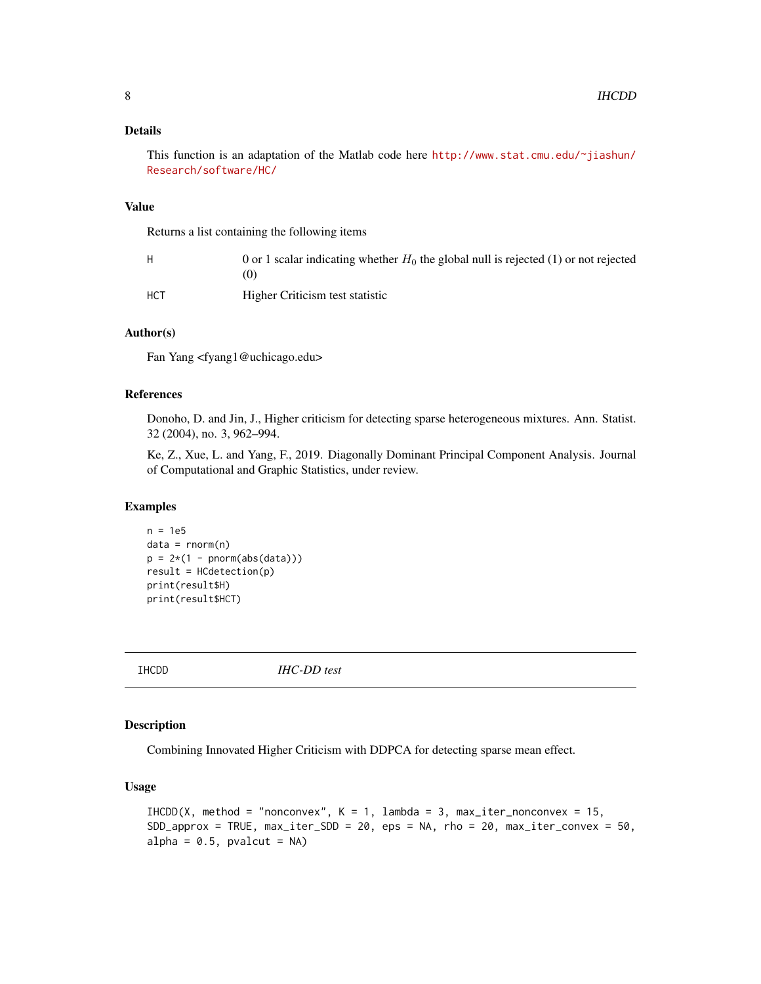#### <span id="page-7-0"></span>Details

This function is an adaptation of the Matlab code here [http://www.stat.cmu.edu/~jiashun/](http://www.stat.cmu.edu/~jiashun/Research/software/HC/) [Research/software/HC/](http://www.stat.cmu.edu/~jiashun/Research/software/HC/)

#### Value

Returns a list containing the following items

| н   | 0 or 1 scalar indicating whether $H_0$ the global null is rejected (1) or not rejected<br>$\left( 0\right)$ |
|-----|-------------------------------------------------------------------------------------------------------------|
| HCT | Higher Criticism test statistic                                                                             |

#### Author(s)

Fan Yang <fyang1@uchicago.edu>

#### References

Donoho, D. and Jin, J., Higher criticism for detecting sparse heterogeneous mixtures. Ann. Statist. 32 (2004), no. 3, 962–994.

Ke, Z., Xue, L. and Yang, F., 2019. Diagonally Dominant Principal Component Analysis. Journal of Computational and Graphic Statistics, under review.

## Examples

```
n = 1e5data = rnorm(n)p = 2*(1 - pnorm(abs(data)))result = HCdetection(p)
print(result$H)
print(result$HCT)
```
<span id="page-7-1"></span>IHCDD *IHC-DD test*

## Description

Combining Innovated Higher Criticism with DDPCA for detecting sparse mean effect.

#### Usage

```
IHCDD(X, method = "nonconvex", K = 1, lambda = 3, max_iter_nonconvex = 15,
SDD<sub>-approx</sub> = TRUE, max<sub>-</sub>iter_SDD = 20, eps = NA, rho = 20, max<sub>-</sub>iter_convex = 50,
alpha = 0.5, pvalcut = NA)
```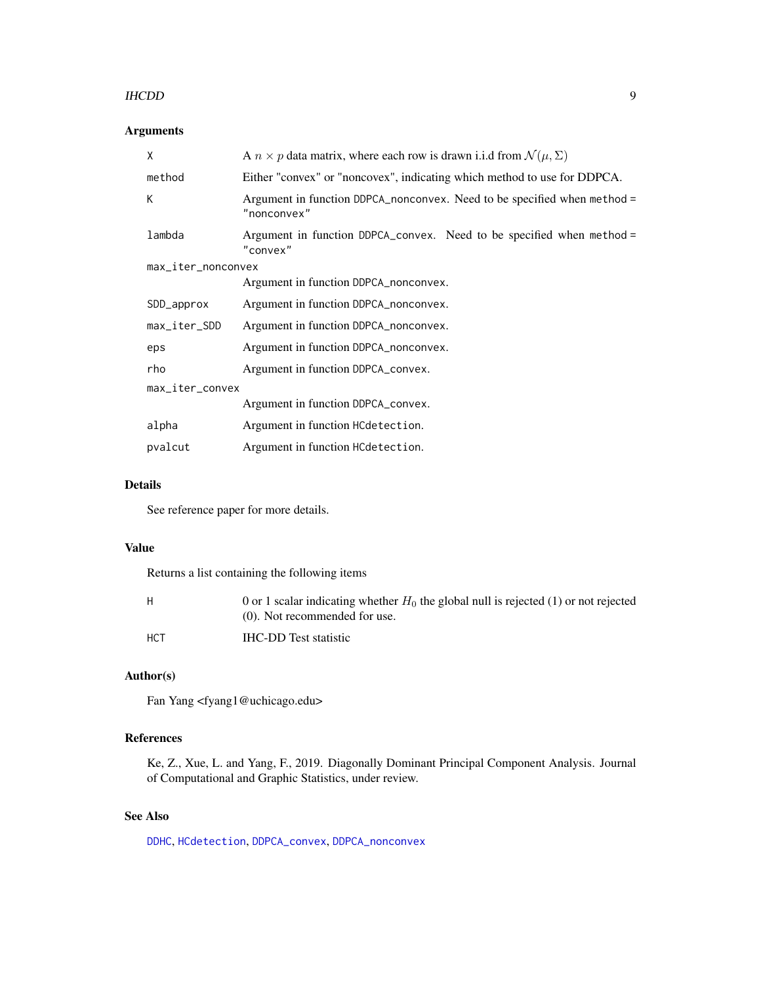#### <span id="page-8-0"></span>IHCDD 99

## Arguments

| X                  | A $n \times p$ data matrix, where each row is drawn i.i.d from $\mathcal{N}(\mu, \Sigma)$ |  |
|--------------------|-------------------------------------------------------------------------------------------|--|
| method             | Either "convex" or "noncovex", indicating which method to use for DDPCA.                  |  |
| K                  | Argument in function DDPCA_nonconvex. Need to be specified when method =<br>"nonconvex"   |  |
| lambda             | Argument in function DDPCA_convex. Need to be specified when method =<br>"convex"         |  |
| max_iter_nonconvex |                                                                                           |  |
|                    | Argument in function DDPCA_nonconvex.                                                     |  |
| SDD_approx         | Argument in function DDPCA_nonconvex.                                                     |  |
| max_iter_SDD       | Argument in function DDPCA_nonconvex.                                                     |  |
| eps                | Argument in function DDPCA_nonconvex.                                                     |  |
| rho                | Argument in function DDPCA_convex.                                                        |  |
| max_iter_convex    |                                                                                           |  |
|                    | Argument in function DDPCA_convex.                                                        |  |
| alpha              | Argument in function HCdetection.                                                         |  |
| pvalcut            | Argument in function HCdetection.                                                         |  |

## Details

See reference paper for more details.

#### Value

Returns a list containing the following items

| H          | 0 or 1 scalar indicating whether $H_0$ the global null is rejected (1) or not rejected<br>$(0)$ . Not recommended for use. |
|------------|----------------------------------------------------------------------------------------------------------------------------|
| <b>HCT</b> | <b>IHC-DD</b> Test statistic                                                                                               |

## Author(s)

Fan Yang <fyang1@uchicago.edu>

## References

Ke, Z., Xue, L. and Yang, F., 2019. Diagonally Dominant Principal Component Analysis. Journal of Computational and Graphic Statistics, under review.

## See Also

[DDHC](#page-2-1), [HCdetection](#page-6-1), [DDPCA\\_convex](#page-3-1), [DDPCA\\_nonconvex](#page-5-1)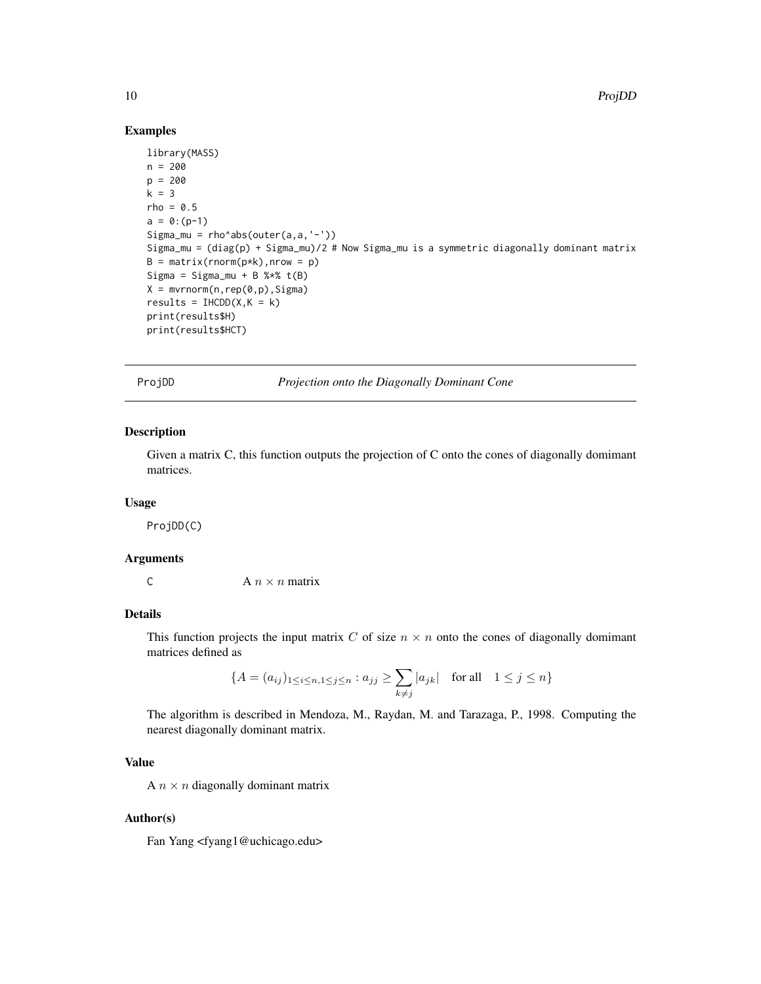#### Examples

```
library(MASS)
n = 200
p = 200
k = 3rho = 0.5a = 0:(p-1)Sigma_mu = rho<sup>-</sup>abs(outer(a,a,'-'))
Sigma_mu = (diag(p) + Sigma_mu)/2 # Now Sigma_mu is a symmetric diagonally dominant matrix
B = matrix(rnorm(p*k), nrow = p)Sigma = Sigma_mu + B % f(B)X = mvrnorm(n, rep(0, p), Sigma)results = IHCDD(X,K = k)print(results$H)
print(results$HCT)
```
<span id="page-9-1"></span>ProjDD *Projection onto the Diagonally Dominant Cone*

## Description

Given a matrix C, this function outputs the projection of C onto the cones of diagonally domimant matrices.

#### Usage

ProjDD(C)

#### Arguments

C  $A n \times n$  matrix

#### Details

This function projects the input matrix C of size  $n \times n$  onto the cones of diagonally domimant matrices defined as

$$
\{A = (a_{ij})_{1 \le i \le n, 1 \le j \le n} : a_{jj} \ge \sum_{k \ne j} |a_{jk}| \quad \text{for all} \quad 1 \le j \le n\}
$$

The algorithm is described in Mendoza, M., Raydan, M. and Tarazaga, P., 1998. Computing the nearest diagonally dominant matrix.

## Value

A  $n \times n$  diagonally dominant matrix

#### Author(s)

Fan Yang <fyang1@uchicago.edu>

<span id="page-9-0"></span>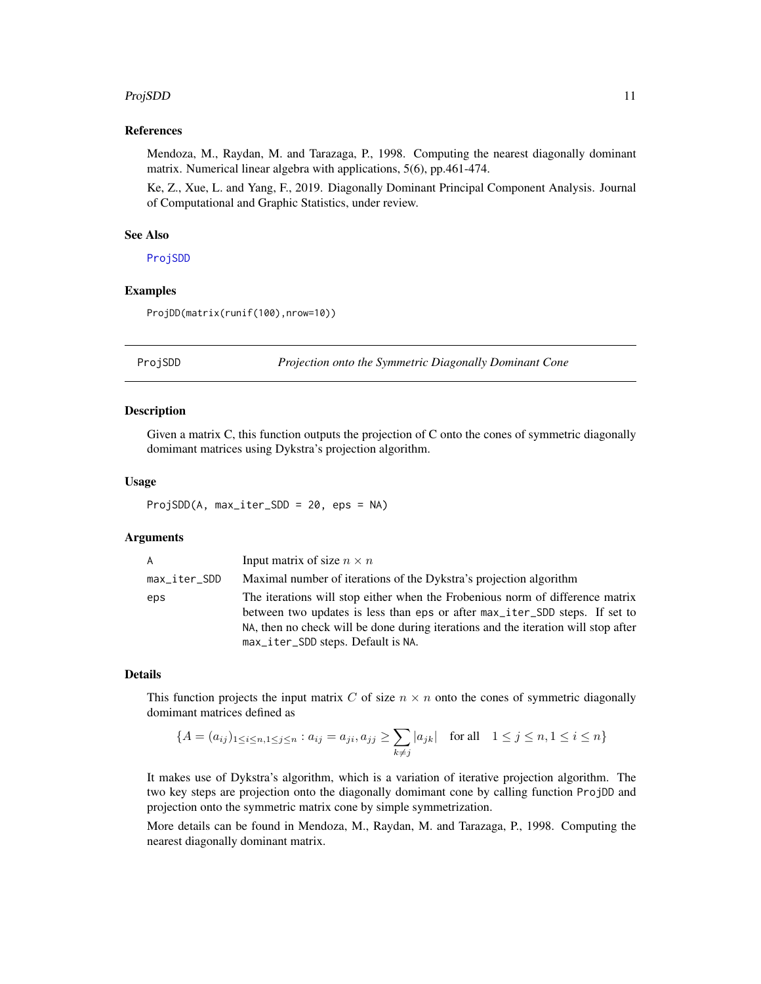#### <span id="page-10-0"></span>ProjSDD 11

#### References

Mendoza, M., Raydan, M. and Tarazaga, P., 1998. Computing the nearest diagonally dominant matrix. Numerical linear algebra with applications, 5(6), pp.461-474.

Ke, Z., Xue, L. and Yang, F., 2019. Diagonally Dominant Principal Component Analysis. Journal of Computational and Graphic Statistics, under review.

#### See Also

[ProjSDD](#page-10-1)

#### Examples

ProjDD(matrix(runif(100),nrow=10))

<span id="page-10-1"></span>

ProjSDD *Projection onto the Symmetric Diagonally Dominant Cone*

#### Description

Given a matrix C, this function outputs the projection of C onto the cones of symmetric diagonally domimant matrices using Dykstra's projection algorithm.

#### Usage

ProjSDD(A, max\_iter\_SDD = 20, eps = NA)

#### Arguments

| A            | Input matrix of size $n \times n$                                                  |
|--------------|------------------------------------------------------------------------------------|
| max_iter_SDD | Maximal number of iterations of the Dykstra's projection algorithm                 |
| eps          | The iterations will stop either when the Frobenious norm of difference matrix      |
|              | between two updates is less than eps or after max_iter_SDD steps. If set to        |
|              | NA, then no check will be done during iterations and the iteration will stop after |
|              | max_iter_SDD steps. Default is NA.                                                 |

#### Details

This function projects the input matrix C of size  $n \times n$  onto the cones of symmetric diagonally domimant matrices defined as

$$
\{A = (a_{ij})_{1 \le i \le n, 1 \le j \le n} : a_{ij} = a_{ji}, a_{jj} \ge \sum_{k \ne j} |a_{jk}| \text{ for all } 1 \le j \le n, 1 \le i \le n\}
$$

It makes use of Dykstra's algorithm, which is a variation of iterative projection algorithm. The two key steps are projection onto the diagonally domimant cone by calling function ProjDD and projection onto the symmetric matrix cone by simple symmetrization.

More details can be found in Mendoza, M., Raydan, M. and Tarazaga, P., 1998. Computing the nearest diagonally dominant matrix.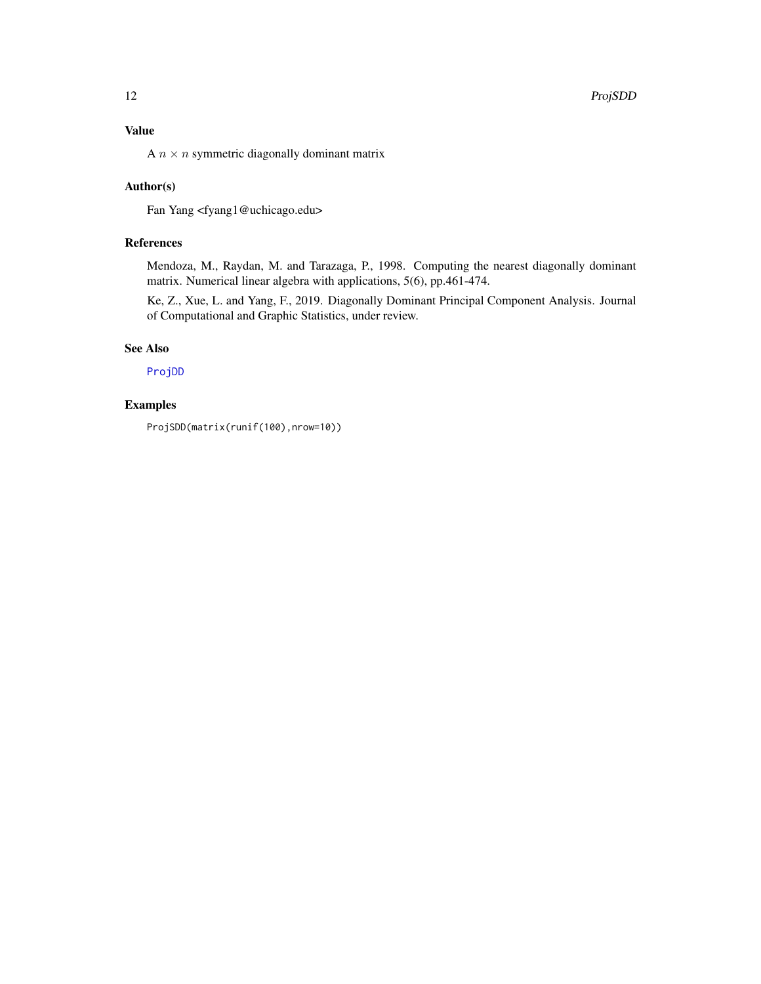<span id="page-11-0"></span>A  $n \times n$  symmetric diagonally dominant matrix

## Author(s)

Fan Yang <fyang1@uchicago.edu>

## References

Mendoza, M., Raydan, M. and Tarazaga, P., 1998. Computing the nearest diagonally dominant matrix. Numerical linear algebra with applications, 5(6), pp.461-474.

Ke, Z., Xue, L. and Yang, F., 2019. Diagonally Dominant Principal Component Analysis. Journal of Computational and Graphic Statistics, under review.

#### See Also

[ProjDD](#page-9-1)

## Examples

ProjSDD(matrix(runif(100),nrow=10))